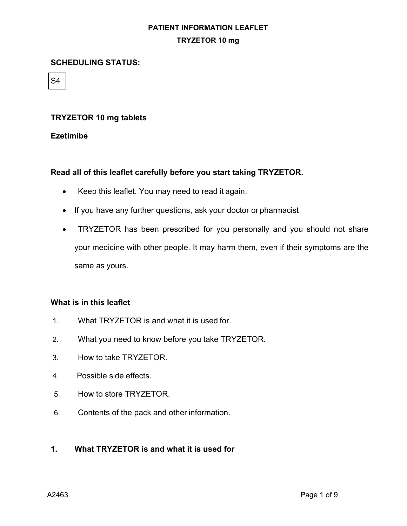#### **SCHEDULING STATUS:**

S4

## **TRYZETOR 10 mg tablets**

## **Ezetimibe**

## **Read all of this leaflet carefully before you start taking TRYZETOR.**

- Keep this leaflet. You may need to read it again.
- If you have any further questions, ask your doctor or pharmacist
- TRYZETOR has been prescribed for you personally and you should not share your medicine with other people. It may harm them, even if their symptoms are the same as yours.

## **What is in this leaflet**

- 1. What TRYZETOR is and what it is used for.
- 2. What you need to know before you take TRYZETOR.
- 3. How to take TRYZETOR.
- 4. Possible side effects.
- 5. How to store TRYZETOR.
- 6. Contents of the pack and other information.

## **1. What TRYZETOR is and what it is used for**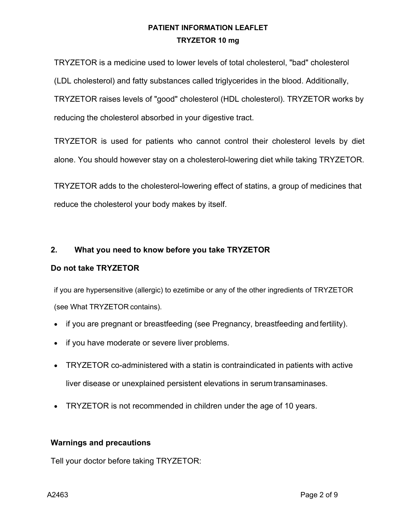TRYZETOR is a medicine used to lower levels of total cholesterol, "bad" cholesterol (LDL cholesterol) and fatty substances called triglycerides in the blood. Additionally, TRYZETOR raises levels of "good" cholesterol (HDL cholesterol). TRYZETOR works by reducing the cholesterol absorbed in your digestive tract.

TRYZETOR is used for patients who cannot control their cholesterol levels by diet alone. You should however stay on a cholesterol-lowering diet while taking TRYZETOR.

TRYZETOR adds to the cholesterol-lowering effect of statins, a group of medicines that reduce the cholesterol your body makes by itself.

## **2. What you need to know before you take TRYZETOR**

## **Do not take TRYZETOR**

if you are hypersensitive (allergic) to ezetimibe or any of the other ingredients of TRYZETOR (see What TRYZETOR contains).

- if you are pregnant or breastfeeding (see Pregnancy, breastfeeding and fertility).
- if you have moderate or severe liver problems.
- TRYZETOR co-administered with a statin is contraindicated in patients with active liver disease or unexplained persistent elevations in serum transaminases.
- TRYZETOR is not recommended in children under the age of 10 years.

## **Warnings and precautions**

Tell your doctor before taking TRYZETOR: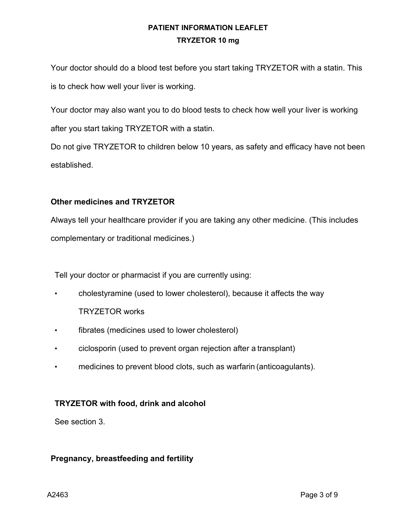Your doctor should do a blood test before you start taking TRYZETOR with a statin. This is to check how well your liver is working.

Your doctor may also want you to do blood tests to check how well your liver is working after you start taking TRYZETOR with a statin.

Do not give TRYZETOR to children below 10 years, as safety and efficacy have not been established.

## **Other medicines and TRYZETOR**

Always tell your healthcare provider if you are taking any other medicine. (This includes complementary or traditional medicines.)

Tell your doctor or pharmacist if you are currently using:

- cholestyramine (used to lower cholesterol), because it affects the way TRYZETOR works
- fibrates (medicines used to lower cholesterol)
- ciclosporin (used to prevent organ rejection after a transplant)
- medicines to prevent blood clots, such as warfarin (anticoagulants).

## **TRYZETOR with food, drink and alcohol**

See section 3.

## **Pregnancy, breastfeeding and fertility**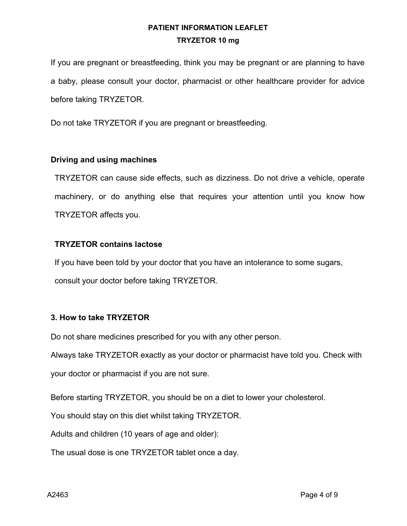If you are pregnant or breastfeeding, think you may be pregnant or are planning to have a baby, please consult your doctor, pharmacist or other healthcare provider for advice before taking TRYZETOR.

Do not take TRYZETOR if you are pregnant or breastfeeding.

## **Driving and using machines**

TRYZETOR can cause side effects, such as dizziness. Do not drive a vehicle, operate machinery, or do anything else that requires your attention until you know how TRYZETOR affects you.

## **TRYZETOR contains lactose**

If you have been told by your doctor that you have an intolerance to some sugars, consult your doctor before taking TRYZETOR.

## **3. How to take TRYZETOR**

Do not share medicines prescribed for you with any other person.

Always take TRYZETOR exactly as your doctor or pharmacist have told you. Check with your doctor or pharmacist if you are not sure.

Before starting TRYZETOR, you should be on a diet to lower your cholesterol.

You should stay on this diet whilst taking TRYZETOR.

Adults and children (10 years of age and older):

The usual dose is one TRYZETOR tablet once a day.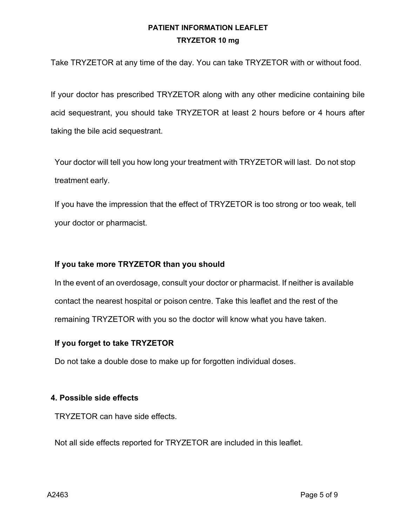Take TRYZETOR at any time of the day. You can take TRYZETOR with or without food.

If your doctor has prescribed TRYZETOR along with any other medicine containing bile acid sequestrant, you should take TRYZETOR at least 2 hours before or 4 hours after taking the bile acid sequestrant.

Your doctor will tell you how long your treatment with TRYZETOR will last. Do not stop treatment early.

If you have the impression that the effect of TRYZETOR is too strong or too weak, tell your doctor or pharmacist.

## **If you take more TRYZETOR than you should**

In the event of an overdosage, consult your doctor or pharmacist. If neither is available contact the nearest hospital or poison centre. Take this leaflet and the rest of the remaining TRYZETOR with you so the doctor will know what you have taken.

## **If you forget to take TRYZETOR**

Do not take a double dose to make up for forgotten individual doses.

## **4. Possible side effects**

TRYZETOR can have side effects.

Not all side effects reported for TRYZETOR are included in this leaflet.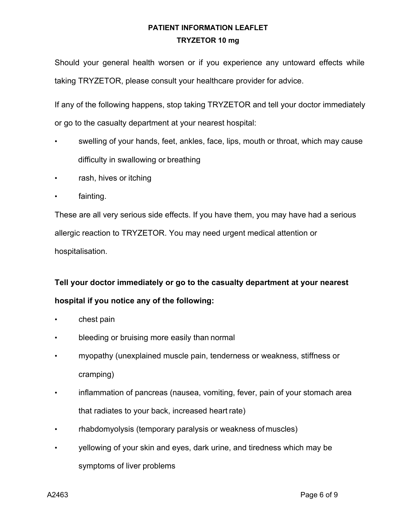Should your general health worsen or if you experience any untoward effects while taking TRYZETOR, please consult your healthcare provider for advice.

If any of the following happens, stop taking TRYZETOR and tell your doctor immediately or go to the casualty department at your nearest hospital:

- swelling of your hands, feet, ankles, face, lips, mouth or throat, which may cause difficulty in swallowing or breathing
- rash, hives or itching
- fainting.

These are all very serious side effects. If you have them, you may have had a serious allergic reaction to TRYZETOR. You may need urgent medical attention or hospitalisation.

# **Tell your doctor immediately or go to the casualty department at your nearest hospital if you notice any of the following:**

- chest pain
- bleeding or bruising more easily than normal
- myopathy (unexplained muscle pain, tenderness or weakness, stiffness or cramping)
- inflammation of pancreas (nausea, vomiting, fever, pain of your stomach area that radiates to your back, increased heart rate)
- rhabdomyolysis (temporary paralysis or weakness of muscles)
- yellowing of your skin and eyes, dark urine, and tiredness which may be symptoms of liver problems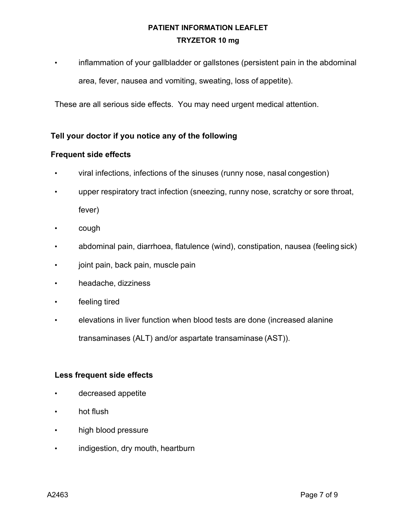• inflammation of your gallbladder or gallstones (persistent pain in the abdominal area, fever, nausea and vomiting, sweating, loss of appetite).

These are all serious side effects. You may need urgent medical attention.

## **Tell your doctor if you notice any of the following**

## **Frequent side effects**

- viral infections, infections of the sinuses (runny nose, nasal congestion)
- upper respiratory tract infection (sneezing, runny nose, scratchy or sore throat, fever)
- cough
- abdominal pain, diarrhoea, flatulence (wind), constipation, nausea (feeling sick)
- joint pain, back pain, muscle pain
- headache, dizziness
- feeling tired
- elevations in liver function when blood tests are done (increased alanine transaminases (ALT) and/or aspartate transaminase (AST)).

## **Less frequent side effects**

- decreased appetite
- hot flush
- high blood pressure
- indigestion, dry mouth, heartburn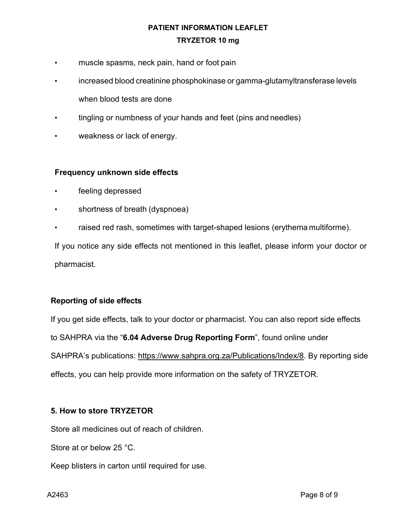- muscle spasms, neck pain, hand or foot pain
- increased blood creatinine phosphokinase or gamma-glutamyltransferase levels when blood tests are done
- tingling or numbness of your hands and feet (pins and needles)
- weakness or lack of energy.

## **Frequency unknown side effects**

- feeling depressed
- shortness of breath (dyspnoea)
- raised red rash, sometimes with target-shaped lesions (erythema multiforme).

If you notice any side effects not mentioned in this leaflet, please inform your doctor or pharmacist.

## **Reporting of side effects**

If you get side effects, talk to your doctor or pharmacist. You can also report side effects to SAHPRA via the "**6.04 Adverse Drug Reporting Form**", found online under SAHPRA's publications: https://www.sahpra.org.za/Publications/Index/8. By reporting side effects, you can help provide more information on the safety of TRYZETOR.

## **5. How to store TRYZETOR**

Store all medicines out of reach of children.

Store at or below 25 °C.

Keep blisters in carton until required for use.